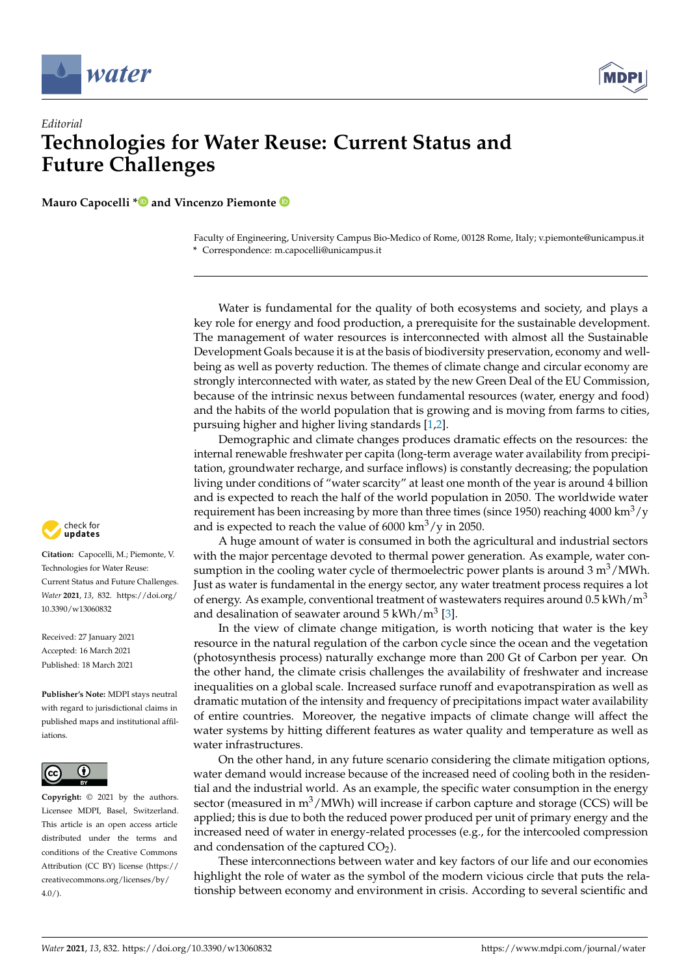



## *Editorial* **Technologies for Water Reuse: Current Status and Future Challenges**

**Mauro Capocelli [\\*](https://orcid.org/0000-0002-6167-336X) and Vincenzo Piemonte**

Faculty of Engineering, University Campus Bio-Medico of Rome, 00128 Rome, Italy; v.piemonte@unicampus.it **\*** Correspondence: m.capocelli@unicampus.it

Water is fundamental for the quality of both ecosystems and society, and plays a key role for energy and food production, a prerequisite for the sustainable development. The management of water resources is interconnected with almost all the Sustainable Development Goals because it is at the basis of biodiversity preservation, economy and wellbeing as well as poverty reduction. The themes of climate change and circular economy are strongly interconnected with water, as stated by the new Green Deal of the EU Commission, because of the intrinsic nexus between fundamental resources (water, energy and food) and the habits of the world population that is growing and is moving from farms to cities, pursuing higher and higher living standards [\[1,](#page-2-0)[2\]](#page-2-1).

Demographic and climate changes produces dramatic effects on the resources: the internal renewable freshwater per capita (long-term average water availability from precipitation, groundwater recharge, and surface inflows) is constantly decreasing; the population living under conditions of "water scarcity" at least one month of the year is around 4 billion and is expected to reach the half of the world population in 2050. The worldwide water requirement has been increasing by more than three times (since 1950) reaching  $4000 \text{ km}^3\text{/y}$ and is expected to reach the value of  $6000 \text{ km}^3/\text{y}$  in 2050.

A huge amount of water is consumed in both the agricultural and industrial sectors with the major percentage devoted to thermal power generation. As example, water consumption in the cooling water cycle of thermoelectric power plants is around  $3 \text{ m}^3/\text{MWh}$ . Just as water is fundamental in the energy sector, any water treatment process requires a lot of energy. As example, conventional treatment of wastewaters requires around  $0.5$  kWh/m<sup>3</sup> and desalination of seawater around  $5 \text{ kWh/m}^3$  [\[3\]](#page-2-2).

In the view of climate change mitigation, is worth noticing that water is the key resource in the natural regulation of the carbon cycle since the ocean and the vegetation (photosynthesis process) naturally exchange more than 200 Gt of Carbon per year. On the other hand, the climate crisis challenges the availability of freshwater and increase inequalities on a global scale. Increased surface runoff and evapotranspiration as well as dramatic mutation of the intensity and frequency of precipitations impact water availability of entire countries. Moreover, the negative impacts of climate change will affect the water systems by hitting different features as water quality and temperature as well as water infrastructures.

On the other hand, in any future scenario considering the climate mitigation options, water demand would increase because of the increased need of cooling both in the residential and the industrial world. As an example, the specific water consumption in the energy sector (measured in  $m^3/MWh$ ) will increase if carbon capture and storage (CCS) will be applied; this is due to both the reduced power produced per unit of primary energy and the increased need of water in energy-related processes (e.g., for the intercooled compression and condensation of the captured  $CO<sub>2</sub>$ ).

These interconnections between water and key factors of our life and our economies highlight the role of water as the symbol of the modern vicious circle that puts the relationship between economy and environment in crisis. According to several scientific and



**Citation:** Capocelli, M.; Piemonte, V. Technologies for Water Reuse: Current Status and Future Challenges. *Water* **2021**, *13*, 832. [https://doi.org/](https://doi.org/10.3390/w13060832) [10.3390/w13060832](https://doi.org/10.3390/w13060832)

Received: 27 January 2021 Accepted: 16 March 2021 Published: 18 March 2021

**Publisher's Note:** MDPI stays neutral with regard to jurisdictional claims in published maps and institutional affiliations.



**Copyright:** © 2021 by the authors. Licensee MDPI, Basel, Switzerland. This article is an open access article distributed under the terms and conditions of the Creative Commons Attribution (CC BY) license (https:/[/](https://creativecommons.org/licenses/by/4.0/) [creativecommons.org/licenses/by/](https://creativecommons.org/licenses/by/4.0/)  $4.0/$ ).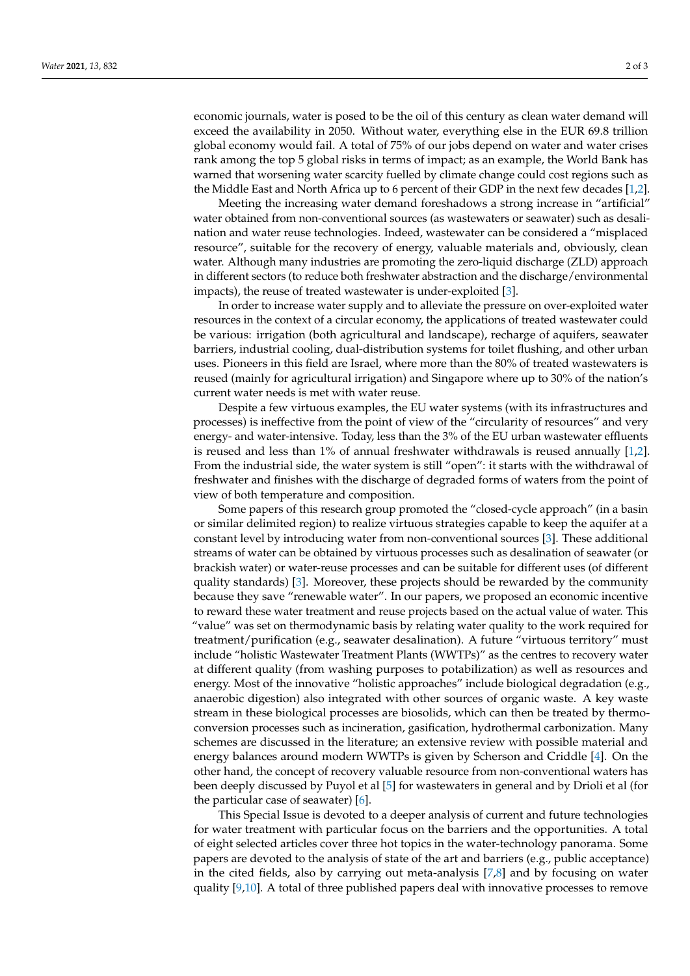economic journals, water is posed to be the oil of this century as clean water demand will exceed the availability in 2050. Without water, everything else in the EUR 69.8 trillion global economy would fail. A total of 75% of our jobs depend on water and water crises rank among the top 5 global risks in terms of impact; as an example, the World Bank has warned that worsening water scarcity fuelled by climate change could cost regions such as the Middle East and North Africa up to 6 percent of their GDP in the next few decades [\[1](#page-2-0)[,2\]](#page-2-1).

Meeting the increasing water demand foreshadows a strong increase in "artificial" water obtained from non-conventional sources (as wastewaters or seawater) such as desalination and water reuse technologies. Indeed, wastewater can be considered a "misplaced resource", suitable for the recovery of energy, valuable materials and, obviously, clean water. Although many industries are promoting the zero-liquid discharge (ZLD) approach in different sectors (to reduce both freshwater abstraction and the discharge/environmental impacts), the reuse of treated wastewater is under-exploited [\[3\]](#page-2-2).

In order to increase water supply and to alleviate the pressure on over-exploited water resources in the context of a circular economy, the applications of treated wastewater could be various: irrigation (both agricultural and landscape), recharge of aquifers, seawater barriers, industrial cooling, dual-distribution systems for toilet flushing, and other urban uses. Pioneers in this field are Israel, where more than the 80% of treated wastewaters is reused (mainly for agricultural irrigation) and Singapore where up to 30% of the nation's current water needs is met with water reuse.

Despite a few virtuous examples, the EU water systems (with its infrastructures and processes) is ineffective from the point of view of the "circularity of resources" and very energy- and water-intensive. Today, less than the 3% of the EU urban wastewater effluents is reused and less than 1% of annual freshwater withdrawals is reused annually [\[1,](#page-2-0)[2\]](#page-2-1). From the industrial side, the water system is still "open": it starts with the withdrawal of freshwater and finishes with the discharge of degraded forms of waters from the point of view of both temperature and composition.

Some papers of this research group promoted the "closed-cycle approach" (in a basin or similar delimited region) to realize virtuous strategies capable to keep the aquifer at a constant level by introducing water from non-conventional sources [\[3\]](#page-2-2). These additional streams of water can be obtained by virtuous processes such as desalination of seawater (or brackish water) or water-reuse processes and can be suitable for different uses (of different quality standards) [\[3\]](#page-2-2). Moreover, these projects should be rewarded by the community because they save "renewable water". In our papers, we proposed an economic incentive to reward these water treatment and reuse projects based on the actual value of water. This "value" was set on thermodynamic basis by relating water quality to the work required for treatment/purification (e.g., seawater desalination). A future "virtuous territory" must include "holistic Wastewater Treatment Plants (WWTPs)" as the centres to recovery water at different quality (from washing purposes to potabilization) as well as resources and energy. Most of the innovative "holistic approaches" include biological degradation (e.g., anaerobic digestion) also integrated with other sources of organic waste. A key waste stream in these biological processes are biosolids, which can then be treated by thermoconversion processes such as incineration, gasification, hydrothermal carbonization. Many schemes are discussed in the literature; an extensive review with possible material and energy balances around modern WWTPs is given by Scherson and Criddle [\[4\]](#page-2-3). On the other hand, the concept of recovery valuable resource from non-conventional waters has been deeply discussed by Puyol et al [\[5\]](#page-2-4) for wastewaters in general and by Drioli et al (for the particular case of seawater) [\[6\]](#page-2-5).

This Special Issue is devoted to a deeper analysis of current and future technologies for water treatment with particular focus on the barriers and the opportunities. A total of eight selected articles cover three hot topics in the water-technology panorama. Some papers are devoted to the analysis of state of the art and barriers (e.g., public acceptance) in the cited fields, also by carrying out meta-analysis [\[7,](#page-2-6)[8\]](#page-2-7) and by focusing on water quality  $[9,10]$  $[9,10]$ . A total of three published papers deal with innovative processes to remove